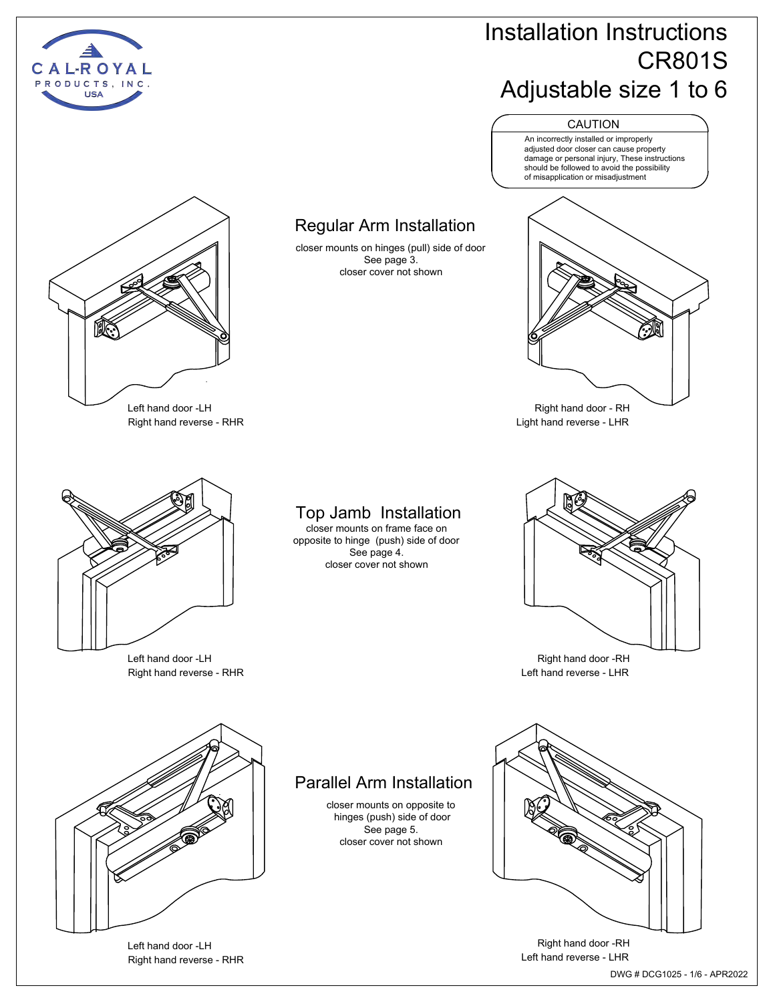

## Installation Instructions CR801S Adjustable size 1 to 6



An incorrectly installed or improperly adjusted door closer can cause property damage or personal injury, These instructions should be followed to avoid the possibility of misapplication or misadjustment



Right hand door - RH Light hand reverse - LHR



Right hand door -RH Left hand reverse - LHR



Regular Arm Installation closer mounts on hinges (pull) side of door See page 3. closer cover not shown

Left hand door -LH Right hand reverse - RHR

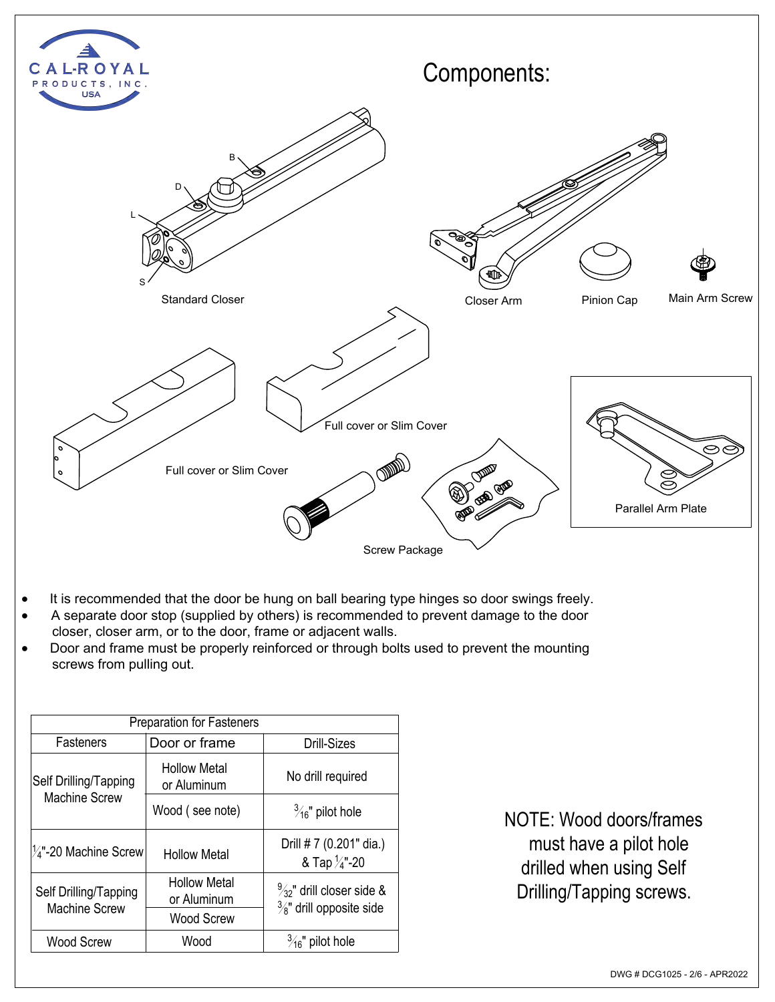

- · It is recommended that the door be hung on ball bearing type hinges so door swings freely.
- A separate door stop (supplied by others) is recommended to prevent damage to the door closer, closer arm, or to the door, frame or adjacent walls.
- · Door and frame must be properly reinforced or through bolts used to prevent the mounting screws from pulling out.

| <b>Preparation for Fasteners</b>              |                                                  |                                                                             |  |
|-----------------------------------------------|--------------------------------------------------|-----------------------------------------------------------------------------|--|
| <b>Fasteners</b>                              | Door or frame                                    | Drill-Sizes                                                                 |  |
| Self Drilling/Tapping<br><b>Machine Screw</b> | <b>Hollow Metal</b><br>or Aluminum               | No drill required                                                           |  |
|                                               | Wood (see note)                                  | $\frac{3}{16}$ " pilot hole                                                 |  |
| $\frac{1}{4}$ "-20 Machine Screw              | <b>Hollow Metal</b>                              | Drill # 7 (0.201" dia.)<br>& Tap $\frac{1}{4}$ "-20                         |  |
| Self Drilling/Tapping<br><b>Machine Screw</b> | <b>Hollow Metal</b><br>or Aluminum<br>Wood Screw | $\frac{9}{32}$ " drill closer side &<br>$\frac{3}{8}$ " drill opposite side |  |
| <b>Wood Screw</b>                             | Wood                                             | $\frac{3}{16}$ " pilot hole                                                 |  |

NOTE: Wood doors/frames must have a pilot hole drilled when using Self Drilling/Tapping screws.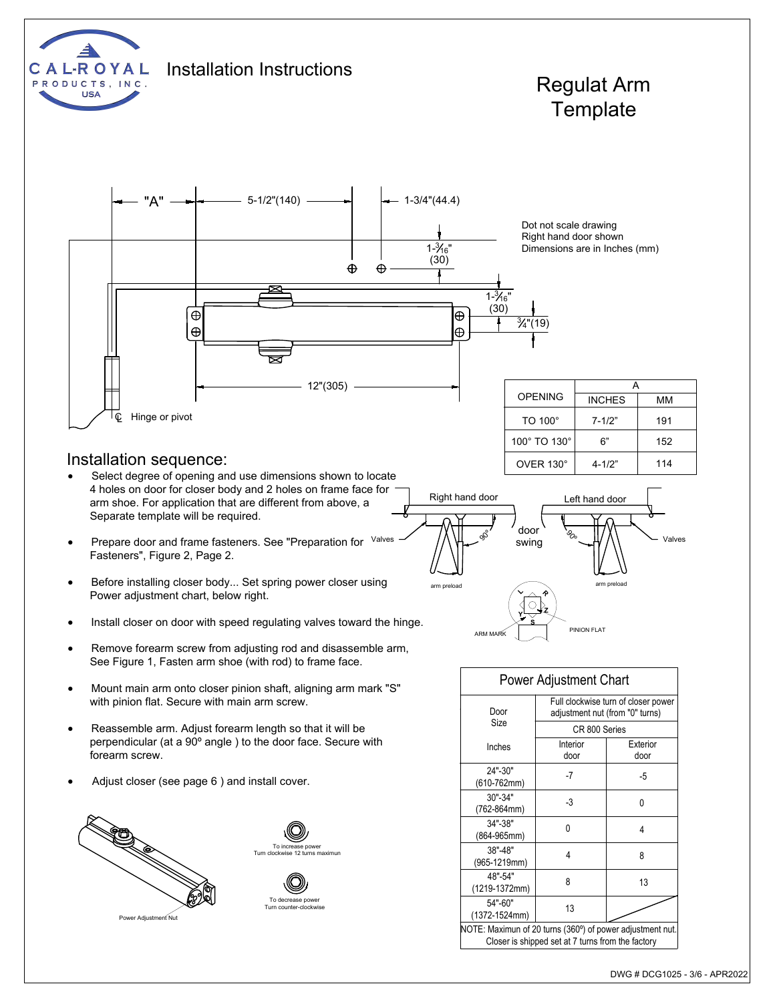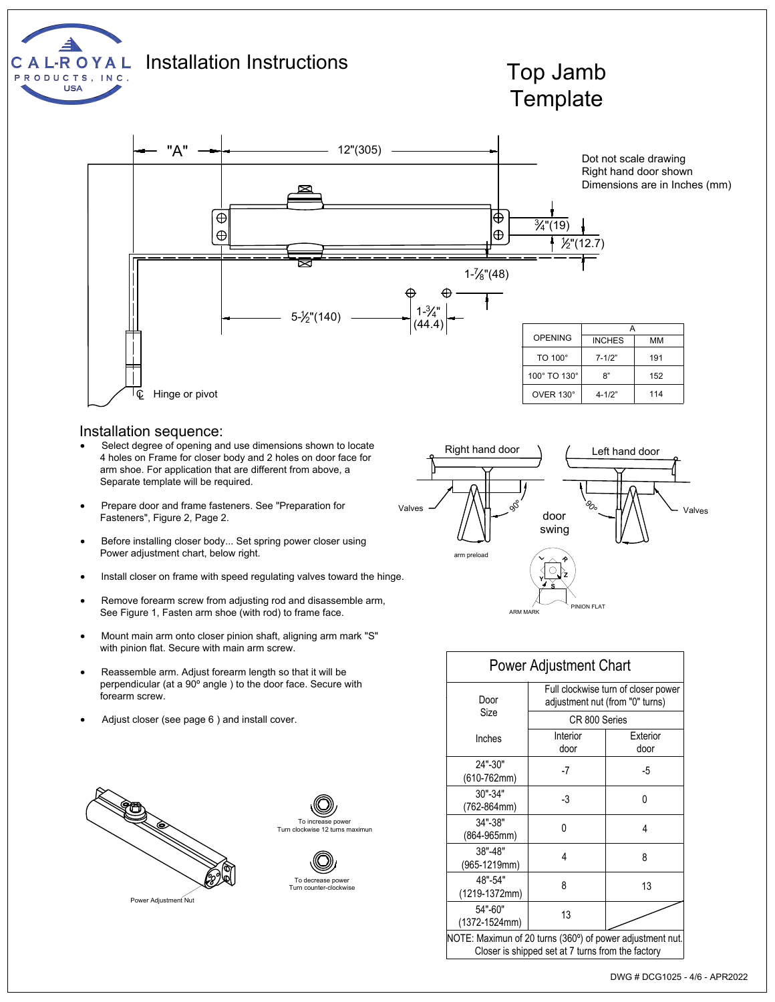

#### Installation sequence:

- Select degree of opening and use dimensions shown to locate 4 holes on Frame for closer body and 2 holes on door face for arm shoe. For application that are different from above, a Separate template will be required.
- · Prepare door and frame fasteners. See "Preparation for Fasteners", Figure 2, Page 2.
- · Before installing closer body... Set spring power closer using Power adjustment chart, below right.
- Install closer on frame with speed regulating valves toward the hinge.
- Remove forearm screw from adjusting rod and disassemble arm, See Figure 1, Fasten arm shoe (with rod) to frame face.
- · Mount main arm onto closer pinion shaft, aligning arm mark "S" with pinion flat. Secure with main arm screw.
- Reassemble arm. Adjust forearm length so that it will be perpendicular (at a 90º angle ) to the door face. Secure with forearm screw.
- Adjust closer (see page 6) and install cover.









|                                                           | <b>Power Adjustment Chart</b>                                          |                  |
|-----------------------------------------------------------|------------------------------------------------------------------------|------------------|
| Door                                                      | Full clockwise turn of closer power<br>adjustment nut (from "0" turns) |                  |
| Size                                                      | CR 800 Series                                                          |                  |
| Inches                                                    | Interior<br>door                                                       | Exterior<br>door |
| 24"-30"<br>$(610-762mm)$                                  | -7                                                                     | -5               |
| 30"-34"<br>(762-864mm)                                    | -3                                                                     | 0                |
| 34"-38"<br>(864-965mm)                                    | N                                                                      | 4                |
| 38"-48"<br>(965-1219mm)                                   | 4                                                                      | 8                |
| 48"-54"<br>(1219-1372mm)                                  | 8                                                                      | 13               |
| 54"-60"<br>(1372-1524mm)                                  | 13                                                                     |                  |
| NOTE: Maximun of 20 turns (360°) of power adjustment nut. |                                                                        |                  |

Closer is shipped set at 7 turns from the factory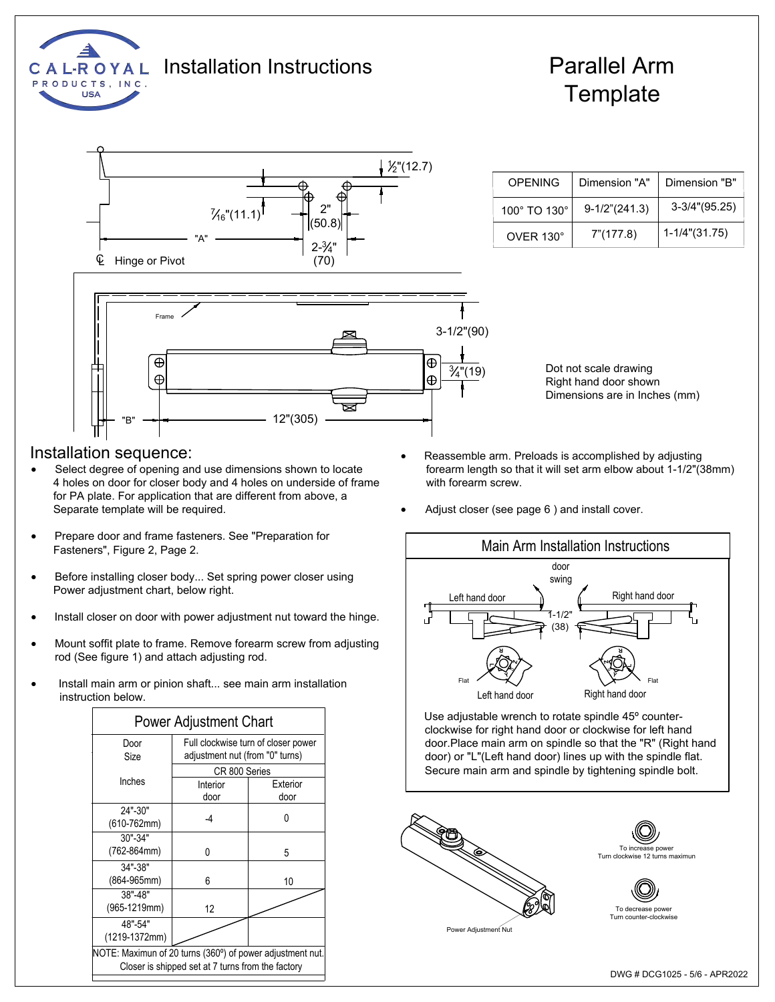

## Installation Instructions Parallel Arm

# **Template**



| OPFNING          | Dimension "A"       | Dimension "B"         |  |
|------------------|---------------------|-----------------------|--|
| 100° TO 130°     | $9-1/2$ " $(241.3)$ | $3-3/4$ " $(95.25)$   |  |
| $OVER 130^\circ$ | 7" (177.8)          | $1 - 1/4$ " $(31.75)$ |  |

Dot not scale drawing Right hand door shown Dimensions are in Inches (mm)

### Installation sequence:

- · Select degree of opening and use dimensions shown to locate 4 holes on door for closer body and 4 holes on underside of frame for PA plate. For application that are different from above, a Separate template will be required.
- Prepare door and frame fasteners. See "Preparation for Fasteners", Figure 2, Page 2.
- Before installing closer body... Set spring power closer using Power adjustment chart, below right.
- Install closer on door with power adjustment nut toward the hinge.
- Mount soffit plate to frame. Remove forearm screw from adjusting rod (See figure 1) and attach adjusting rod.
- Install main arm or pinion shaft... see main arm installation instruction below.

|                                                           | <b>Power Adjustment Chart</b>                                          |                  |
|-----------------------------------------------------------|------------------------------------------------------------------------|------------------|
| Door<br>Size                                              | Full clockwise turn of closer power<br>adjustment nut (from "0" turns) |                  |
|                                                           | CR 800 Series                                                          |                  |
| Inches                                                    | Interior<br>door                                                       | Exterior<br>door |
| 24"-30"<br>$(610-762mm)$                                  | -4                                                                     | ŋ                |
| $30" - 34"$                                               |                                                                        |                  |
| (762-864mm)                                               | N                                                                      | 5                |
| 34"-38"<br>(864-965mm)                                    | 6                                                                      | 10               |
| 38"-48"<br>(965-1219mm)                                   | 12                                                                     |                  |
| 48"-54"<br>(1219-1372mm)                                  |                                                                        |                  |
| NOTE: Maximun of 20 turns (360°) of power adjustment nut. | Closer is shipped set at 7 turns from the factory                      |                  |

- Reassemble arm. Preloads is accomplished by adjusting forearm length so that it will set arm elbow about 1-1/2"(38mm) with forearm screw.
- Adjust closer (see page 6) and install cover.



Use adjustable wrench to rotate spindle 45º counterclockwise for right hand door or clockwise for left hand door.Place main arm on spindle so that the "R" (Right hand door) or "L"(Left hand door) lines up with the spindle flat. Secure main arm and spindle by tightening spindle bolt.